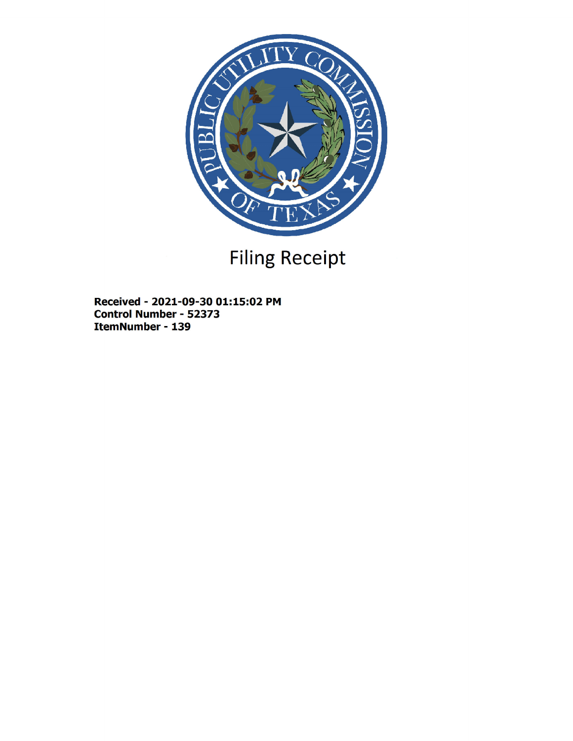

# Filing Receipt

Received - 2021-09-30 01:15:02 PM Control Number - 52373 ItemNumber - 139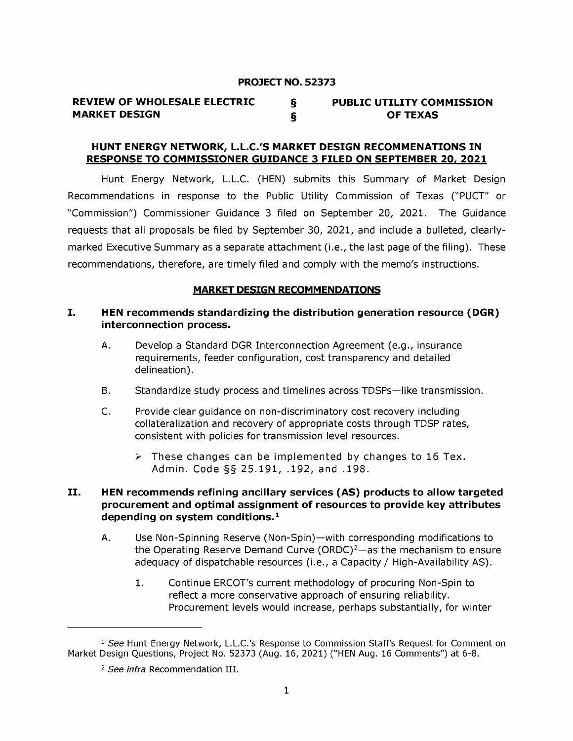#### PROJECT NO. 52373

#### REVIEW OF WHOLESALE ELECTRIC § MARKET DESIGN § PUBLIC UTILITY COMMISSION OF TEXAS

#### HUNT ENERGY NETWORK, L.L.C.'S MARKET DESIGN RECOMMENATIONS IN RESPONSE TO COMMISSIONER GUIDANCE 3 FILED ON SEPTEMBER 20, 2021

Hunt Energy Network, L.L.C. (HEN) submits this Summary of Market Design Recommendations in response to the Public Utility Commission of Texas ("PUCT" or "Commission") Commissioner Guidance 3 filed on September 20, 2021. The Guidance requests that all proposals be filed by September 30, 2021, and include a bulleted, clearlymarked Executive Summary as a separate attachment (i.e., the last page of the filing). These recommendations, therefore, are timely filed and comply with the memo's instructions.

#### MARKET DESIGN RECOMMENDATIONS

### I. HEN recommends standardizing the distribution generation resource (DGR) interconnection process.

- A. Develop a Standard DGR Interconnection Agreement (e.g., insurance requirements, feeder configuration, cost transparency and detailed delineation).
- B. Standardize study process and timelines across TDSPs-like transmission.
- C. Provide clear guidance on non-discriminatory cost recovery including collateralization and recovery of appropriate costs through TDSP rates, consistent with policies for transmission level resources.
	- $\triangleright$  These changes can be implemented by changes to 16 Tex. Admin. Code §§ 25.191, .192, and .198.

### II. HEN recommends refining ancillary services (AS) products to allow targeted procurement and optimal assignment of resources to provide key attributes depending on system conditions. $1$

- A. Use Non-Spinning Reserve (Non-Spin)-with corresponding modifications to the Operating Reserve Demand Curve (ORDC)<sup>2</sup>-as the mechanism to ensure adequacy of dispatchable resources (i.e., a Capacity/ High-Availability AS).
	- 1. Continue ERCOT's current methodology of procuring Non-Spin to reflect a more conservative approach of ensuring reliability. Procurement levels would increase, perhaps substantially, for winter

<sup>&</sup>lt;sup>1</sup> See Hunt Energy Network, L.L.C.'s Response to Commission Staff's Request for Comment on Market Design Questions, Project No. 52373 (Aug. 16, 2021) ("HEN Aug. 16 Comments") at 6-8.

*<sup>2</sup> See infra* Recommendation III .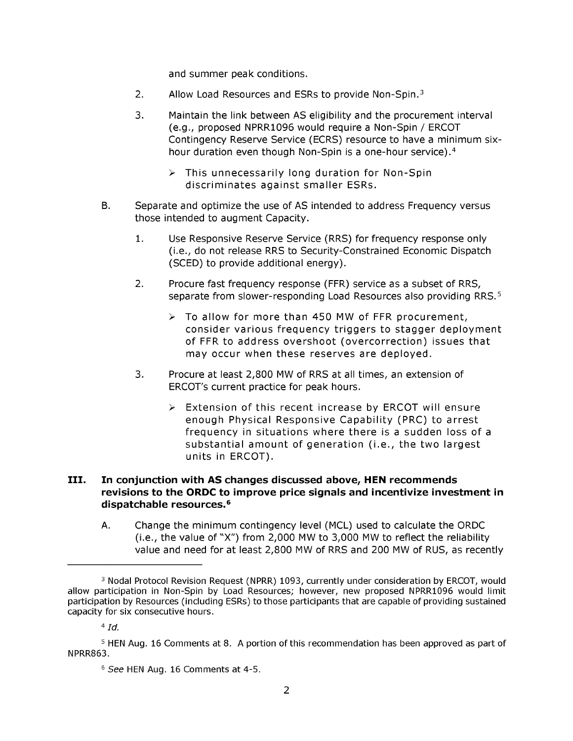and summer peak conditions.

- 2. Allow Load Resources and ESRs to provide Non-Spin.<sup>3</sup>
- 3. Maintain the link between AS eligibility and the procurement interval (e.g., proposed NPRR1096 would require a Non-Spin / ERCOT Contingency Reserve Service (ECRS) resource to have a minimum sixhour duration even though Non-Spin is a one-hour service).4
	- $\triangleright$  This unnecessarily long duration for Non-Spin discriminates against smaller ESRs.
- B. Separate and optimize the use of AS intended to address Frequency versus those intended to augment Capacity.
	- 1. Use Responsive Reserve Service (RRS) for frequency response only (i.e., do not release RRS to Security-Constrained Economic Dispatch (SCED) to provide additional energy).
	- 2. Procure fast frequency response (FFR) service as a subset of RRS, separate from slower-responding Load Resources also providing RRS.<sup>5</sup>
		- > To allow for more than 450 MW of FFR procurement, consider various frequency triggers to stagger deployment of FFR to address overshoot (overcorrection) issues that may occur when these reserves are deployed.
	- 3. Procure at least 2,800 MW of RRS at all times, an extension of ERCOT's current practice for peak hours.
		- > Extension of this recent increase by ERCOT will ensure enough Physical Responsive Capability (PRC) to arrest frequency in situations where there is a sudden loss of a substantial amount of generation (i.e., the two largest units in ERCOT).

## III. In conjunction with AS changes discussed above, HEN recommends revisions to the ORDC to improve price signals and incentivize investment in dispatchable resources.<sup>6</sup>

A. Change the minimum contingency level (MCL) used to calculate the ORDC (i.e., the value of "X") from 2,000 MW to 3,000 MW to reflect the reliability value and need for at least 2,800 MW of RRS and 200 MW of RUS, as recently

<sup>3</sup> Nodal Protocol Revision Request (NPRR) 1093, currently under consideration by ERCOT, would allow participation in Non-Spin by Load Resources; however, new proposed NPRR1096 would limit participation by Resources (including ESRs) to those participants that are capable of providing sustained capacity for six consecutive hours.

*<sup>4</sup> Id.* 

<sup>5</sup> HEN Aug. 16 Comments at 8. A portion of this recommendation has been approved as part of NPRR863.

<sup>6</sup> See HEN Aug. 16 Comments at 4-5.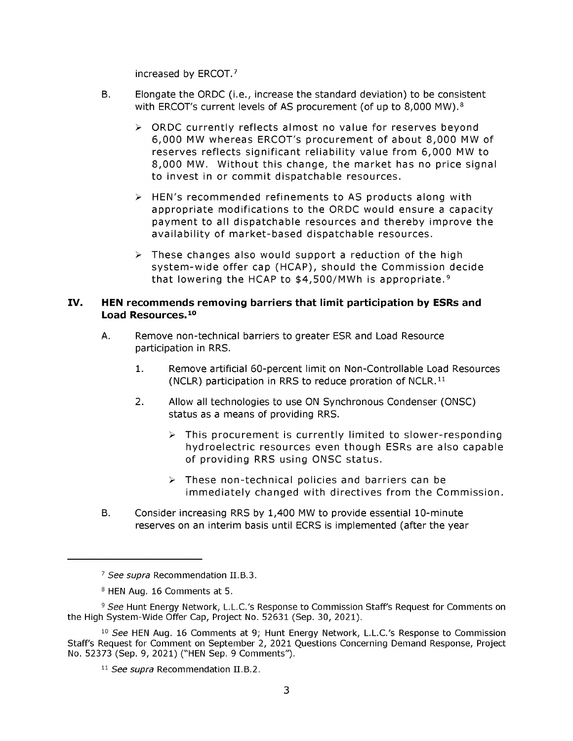increased by ERCOT. 7

- B. Elongate the ORDC (i.e., increase the standard deviation) to be consistent with ERCOT's current levels of AS procurement (of up to 8,000 MW).<sup>8</sup>
	- > ORDC currently reflects almost no value for reserves beyond 6,000 MW whereas ERCOT's procurement of about 8,000 MW of reserves reflects significant reliability value from 6,000 MW to 8,000 MW. Without this change, the market has no price signal to invest in or commit dispatchable resources.
	- $\triangleright$  HEN's recommended refinements to AS products along with appropriate modifications to the ORDC would ensure a capacity payment to all dispatchable resources and thereby improve the availability of market-based dispatchable resources.
	- $\triangleright$  These changes also would support a reduction of the high system-wide offer cap (HCAP), should the Commission decide that lowering the HCAP to  $$4,500/MWh$  is appropriate.<sup>9</sup>

#### IV. HEN recommends removing barriers that limit participation by ESRs and Load Resources. <sup>10</sup>

- A. Remove non-technical barriers to greater ESR and Load Resource participation in RRS.
	- 1. Remove artificial 60-percent limit on Non-Controllable Load Resources (NCLR) participation in RRS to reduce proration of NCLR. 11
	- 2. Allow all technologies to use ON Synchronous Condenser (ONSC) status as a means of providing RRS.
		- $\triangleright$  This procurement is currently limited to slower-responding hydroelectric resources even though ESRs are also capable of providing RRS using ONSC status.
		- $\triangleright$  These non-technical policies and barriers can be immediately changed with directives from the Commission.
- B. Consider increasing RRS by 1,400 MW to provide essential 10-minute reserves on an interim basis until ECRS is implemented (after the year

<sup>&</sup>lt;sup>7</sup> See supra Recommendation II.B.3.

<sup>8</sup> HEN Aug. 16 Comments at 5.

<sup>&</sup>lt;sup>9</sup> See Hunt Energy Network, L.L.C.'s Response to Commission Staff's Request for Comments on the High System-Wide Offer Cap, Project No. 52631 (Sep. 30, 2021).

<sup>&</sup>lt;sup>10</sup> See HEN Aug. 16 Comments at 9; Hunt Energy Network, L.L.C.'s Response to Commission Staff's Request for Comment on September 2, 2021 Questions Concerning Demand Response, Project No. 52373 (Sep. 9, 2021) ("HEN Sep. 9 Comments").

<sup>&</sup>lt;sup>11</sup> See supra Recommendation II.B.2.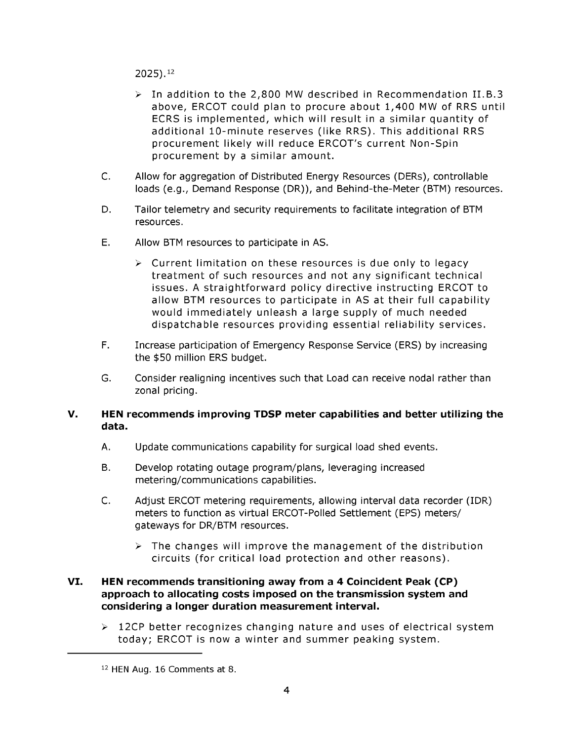2025).12

- > In addition to the 2,800 MW described in Recommendation II.B.3 above, ERCOT could plan to procure about 1,400 MW of RRS until ECRS is implemented, which will result in a similar quantity of additional 10-minute reserves (like RRS). This additional RRS procurement likely will reduce ERCOT's current Non-Spin procurement by a similar amount.
- C. Allow for aggregation of Distributed Energy Resources (DERs), controllable loads (e.g., Demand Response (DR)), and Behind-the-Meter (BTM) resources.
- D. Tailor telemetry and security requirements to facilitate integration of BTM resources.
- E. Allow BTM resources to participate in AS.
	- $\triangleright$  Current limitation on these resources is due only to legacy treatment of such resources and not any significant technical issues. A straightforward policy directive instructing ERCOT to allow BTM resources to participate in AS at their full capability would immediately unleash a large supply of much needed dispatchable resources providing essential reliability services.
- F. Increase participation of Emergency Response Service (ERS) by increasing the \$50 million ERS budget.
- G. Consider realigning incentives such that Load can receive nodal rather than zonal pricing.

#### V. HEN recommends improving TDSP meter capabilities and better utilizing the data.

- A. Update communications capability for surgical load shed events.
- B. Develop rotating outage program/plans, leveraging increased metering/communications capabilities.
- C. Adjust ERCOT metering requirements, allowing interval data recorder (IDR) meters to function as virtual ERCOT-Polled Settlement (EPS) meters/ gateways for DR/BTM resources.
	- $\triangleright$  The changes will improve the management of the distribution circuits (for critical load protection and other reasons).

### VI. HEN recommends transitioning away from a 4 Coincident Peak (CP) approach to allocating costs imposed on the transmission system and considering a longer duration measurement interval.

 $\geq$  12CP better recognizes changing nature and uses of electrical system today; ERCOT is now a winter and summer peaking system.

<sup>12</sup> HEN Aug. 16 Comments at 8.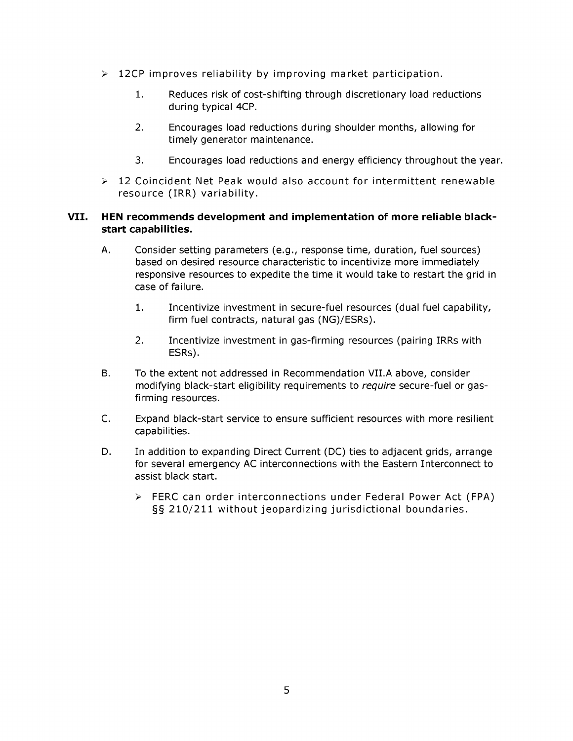- $\geq 12$ CP improves reliability by improving market participation.
	- 1. Reduces risk of cost-shifting through discretionary load reductions during typical 4CP.
	- 2. Encourages load reductions during shoulder months, allowing for timely generator maintenance.
	- 3. Encourages load reductions and energy efficiency throughout the year.
- $>$  12 Coincident Net Peak would also account for intermittent renewable resource (IRR) variability.

## VII. HEN recommends development and implementation of more reliable blackstart capabilities.

- A. Consider setting parameters (e.g., response time, duration, fuel sources) based on desired resource characteristic to incentivize more immediately responsive resources to expedite the time it would take to restart the grid in case of failure.
	- 1. Incentivize investment in secure-fuel resources (dual fuel capability, firm fuel contracts, natural gas (NG)/ESRs).
	- 2. Incentivize investment in gas-firming resources (pairing IRRs with ESRs).
- B. To the extent not addressed in Recommendation VII.A above, consider modifying black-start eligibility requirements to *require* secure-fuel or gasfirming resources.
- C. Expand black-start service to ensure sufficient resources with more resilient capabilities.
- D. In addition to expanding Direct Current (DC) ties to adjacent grids, arrange for several emergency AC interconnections with the Eastern Interconnect to assist black start.
	- > FERC can order interconnections under Federal Power Act (FPA) §§ 210/211 without jeopardizing jurisdictional boundaries.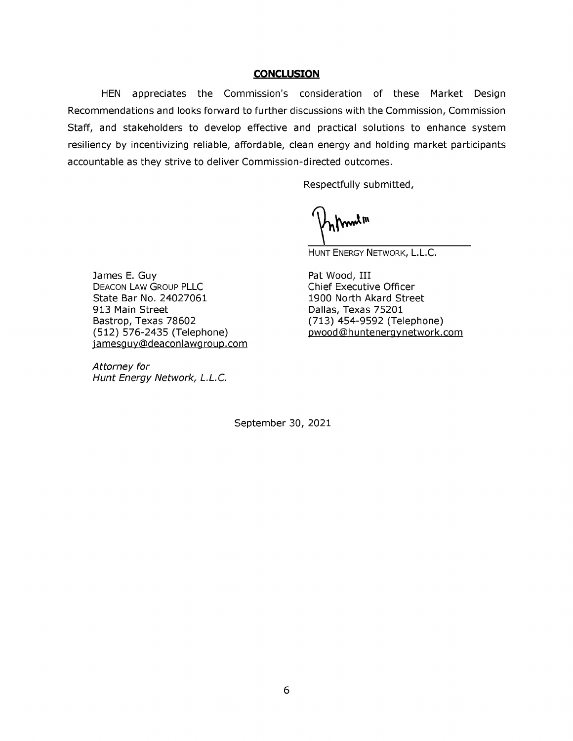#### **CONCLUSION**

HEN appreciates the Commission's consideration of these Market Design Recommendations and looks forward to further discussions with the Commission, Commission Staff, and stakeholders to develop effective and practical solutions to enhance system resiliency by incentivizing reliable, affordable, clean energy and holding market participants accountable as they strive to deliver Commission-directed outcomes.

Respectfully submitted,

m lm

HUNT ENERGY NETWORK, L.L.C.

James E. Guy DEACON LAW GROUP PLLC State Bar No. 24027061 913 Main Street Bastrop, Texas 78602 (512) 576-2435 (Telephone) jamesguy@deaconlawgroup.com

*Attorney for Hunt Energy Network, L.L.C.* 

Pat Wood, III Chief Executive Officer 1900 North Akard Street Dallas, Texas 75201 (713) 454-9592 (Telephone) Dwood@hunteneravnetwork.com

September 30, 2021